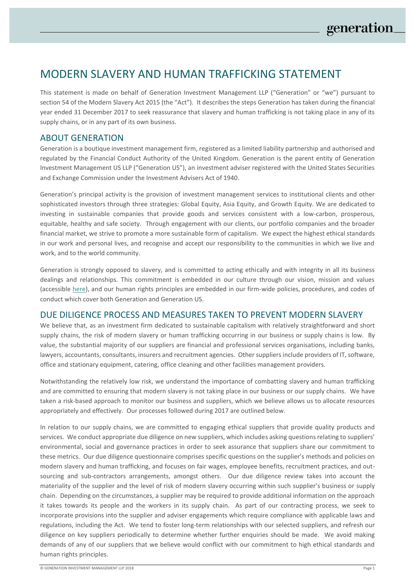# MODERN SLAVERY AND HUMAN TRAFFICKING STATEMENT

This statement is made on behalf of Generation Investment Management LLP ("Generation" or "we") pursuant to section 54 of the Modern Slavery Act 2015 (the "Act"). It describes the steps Generation has taken during the financial year ended 31 December 2017 to seek reassurance that slavery and human trafficking is not taking place in any of its supply chains, or in any part of its own business.

## ABOUT GENERATION

Generation is a boutique investment management firm, registered as a limited liability partnership and authorised and regulated by the Financial Conduct Authority of the United Kingdom. Generation is the parent entity of Generation Investment Management US LLP ("Generation US"), an investment adviser registered with the United States Securities and Exchange Commission under the Investment Advisers Act of 1940.

Generation's principal activity is the provision of investment management services to institutional clients and other sophisticated investors through three strategies: Global Equity, Asia Equity, and Growth Equity. We are dedicated to investing in sustainable companies that provide goods and services consistent with a low-carbon, prosperous, equitable, healthy and safe society. Through engagement with our clients, our portfolio companies and the broader financial market, we strive to promote a more sustainable form of capitalism. We expect the highest ethical standards in our work and personal lives, and recognise and accept our responsibility to the communities in which we live and work, and to the world community.

Generation is strongly opposed to slavery, and is committed to acting ethically and with integrity in all its business dealings and relationships. This commitment is embedded in our culture through our vision, mission and values (accessible [here\)](https://www.generationim.com/generation-philosophy/), and our human rights principles are embedded in our firm-wide policies, procedures, and codes of conduct which cover both Generation and Generation US.

## DUE DILIGENCE PROCESS AND MEASURES TAKEN TO PREVENT MODERN SLAVERY

We believe that, as an investment firm dedicated to sustainable capitalism with relatively straightforward and short supply chains, the risk of modern slavery or human trafficking occurring in our business or supply chains is low. By value, the substantial majority of our suppliers are financial and professional services organisations, including banks, lawyers, accountants, consultants, insurers and recruitment agencies. Other suppliers include providers of IT, software, office and stationary equipment, catering, office cleaning and other facilities management providers.

Notwithstanding the relatively low risk, we understand the importance of combatting slavery and human trafficking and are committed to ensuring that modern slavery is not taking place in our business or our supply chains. We have taken a risk-based approach to monitor our business and suppliers, which we believe allows us to allocate resources appropriately and effectively. Our processes followed during 2017 are outlined below.

In relation to our supply chains, we are committed to engaging ethical suppliers that provide quality products and services. We conduct appropriate due diligence on new suppliers, which includes asking questions relating to suppliers' environmental, social and governance practices in order to seek assurance that suppliers share our commitment to these metrics. Our due diligence questionnaire comprises specific questions on the supplier's methods and policies on modern slavery and human trafficking, and focuses on fair wages, employee benefits, recruitment practices, and outsourcing and sub-contractors arrangements, amongst others. Our due diligence review takes into account the materiality of the supplier and the level of risk of modern slavery occurring within such supplier's business or supply chain. Depending on the circumstances, a supplier may be required to provide additional information on the approach it takes towards its people and the workers in its supply chain. As part of our contracting process, we seek to incorporate provisions into the supplier and adviser engagements which require compliance with applicable laws and regulations, including the Act. We tend to foster long-term relationships with our selected suppliers, and refresh our diligence on key suppliers periodically to determine whether further enquiries should be made. We avoid making demands of any of our suppliers that we believe would conflict with our commitment to high ethical standards and human rights principles.